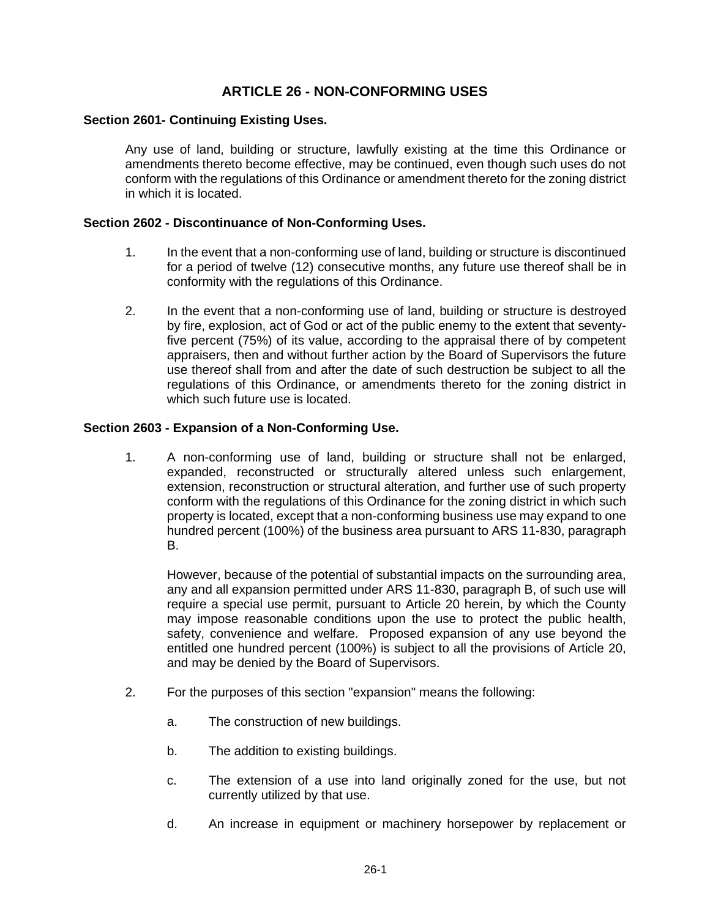# **ARTICLE 26 - NON-CONFORMING USES**

## **Section 2601- Continuing Existing Uses.**

Any use of land, building or structure, lawfully existing at the time this Ordinance or amendments thereto become effective, may be continued, even though such uses do not conform with the regulations of this Ordinance or amendment thereto for the zoning district in which it is located.

#### **Section 2602 - Discontinuance of Non-Conforming Uses.**

- 1. In the event that a non-conforming use of land, building or structure is discontinued for a period of twelve (12) consecutive months, any future use thereof shall be in conformity with the regulations of this Ordinance.
- 2. In the event that a non-conforming use of land, building or structure is destroyed by fire, explosion, act of God or act of the public enemy to the extent that seventyfive percent (75%) of its value, according to the appraisal there of by competent appraisers, then and without further action by the Board of Supervisors the future use thereof shall from and after the date of such destruction be subject to all the regulations of this Ordinance, or amendments thereto for the zoning district in which such future use is located.

#### **Section 2603 - Expansion of a Non-Conforming Use.**

1. A non-conforming use of land, building or structure shall not be enlarged, expanded, reconstructed or structurally altered unless such enlargement, extension, reconstruction or structural alteration, and further use of such property conform with the regulations of this Ordinance for the zoning district in which such property is located, except that a non-conforming business use may expand to one hundred percent (100%) of the business area pursuant to ARS 11-830, paragraph B.

However, because of the potential of substantial impacts on the surrounding area, any and all expansion permitted under ARS 11-830, paragraph B, of such use will require a special use permit, pursuant to Article 20 herein, by which the County may impose reasonable conditions upon the use to protect the public health, safety, convenience and welfare. Proposed expansion of any use beyond the entitled one hundred percent (100%) is subject to all the provisions of Article 20, and may be denied by the Board of Supervisors.

- 2. For the purposes of this section "expansion" means the following:
	- a. The construction of new buildings.
	- b. The addition to existing buildings.
	- c. The extension of a use into land originally zoned for the use, but not currently utilized by that use.
	- d. An increase in equipment or machinery horsepower by replacement or